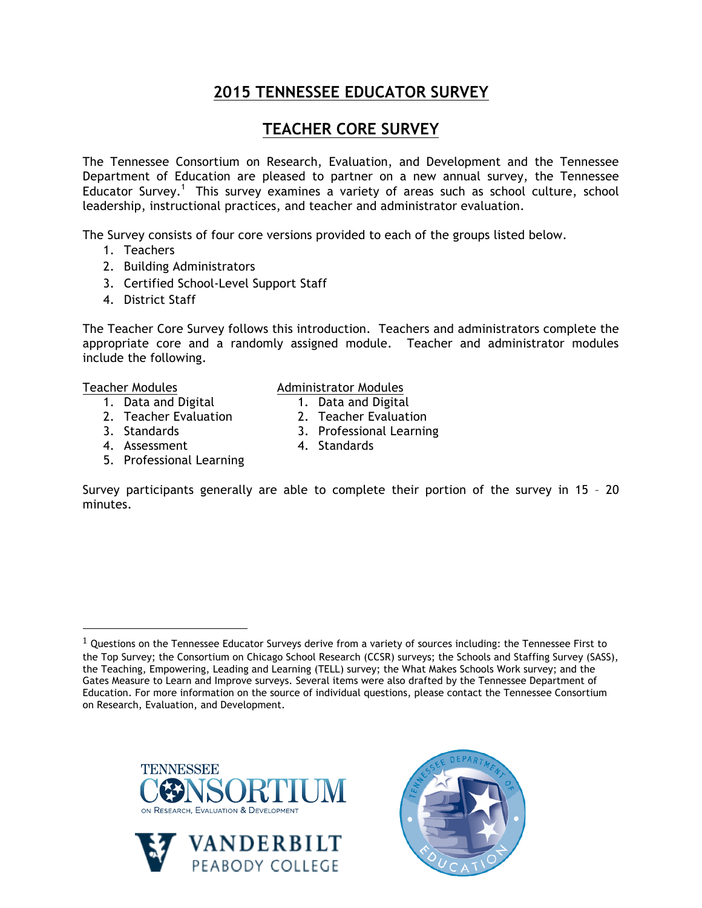# **2015 TENNESSEE EDUCATOR SURVEY**

# **TEACHER CORE SURVEY**

The Tennessee Consortium on Research, Evaluation, and Development and the Tennessee Department of Education are pleased to partner on a new annual survey, the Tennessee Educator Survey.<sup>1</sup> This survey examines a variety of areas such as school culture, school leadership, instructional practices, and teacher and administrator evaluation.

The Survey consists of four core versions provided to each of the groups listed below.

- 1. Teachers
- 2. Building Administrators
- 3. Certified School-Level Support Staff
- 4. District Staff

The Teacher Core Survey follows this introduction. Teachers and administrators complete the appropriate core and a randomly assigned module. Teacher and administrator modules include the following.

> Administrator Modules 1. Data and Digital 2. Teacher Evaluation

#### Teacher Modules

- 1. Data and Digital
- 2. Teacher Evaluation
- 3. Standards
- 3. Professional Learning 4. Standards
- 4. Assessment 5. Professional Learning

!!!!!!!!!!!!!!!!!!!!!!!!!!!!!!!!!!!!!!!!!!!!!!!!!!!!!!!

Survey participants generally are able to complete their portion of the survey in 15 – 20 minutes.







 $1$  Questions on the Tennessee Educator Surveys derive from a variety of sources including: the Tennessee First to the Top Survey; the Consortium on Chicago School Research (CCSR) surveys; the Schools and Staffing Survey (SASS), the Teaching, Empowering, Leading and Learning (TELL) survey; the What Makes Schools Work survey; and the Gates Measure to Learn and Improve surveys. Several items were also drafted by the Tennessee Department of Education. For more information on the source of individual questions, please contact the Tennessee Consortium on Research, Evaluation, and Development.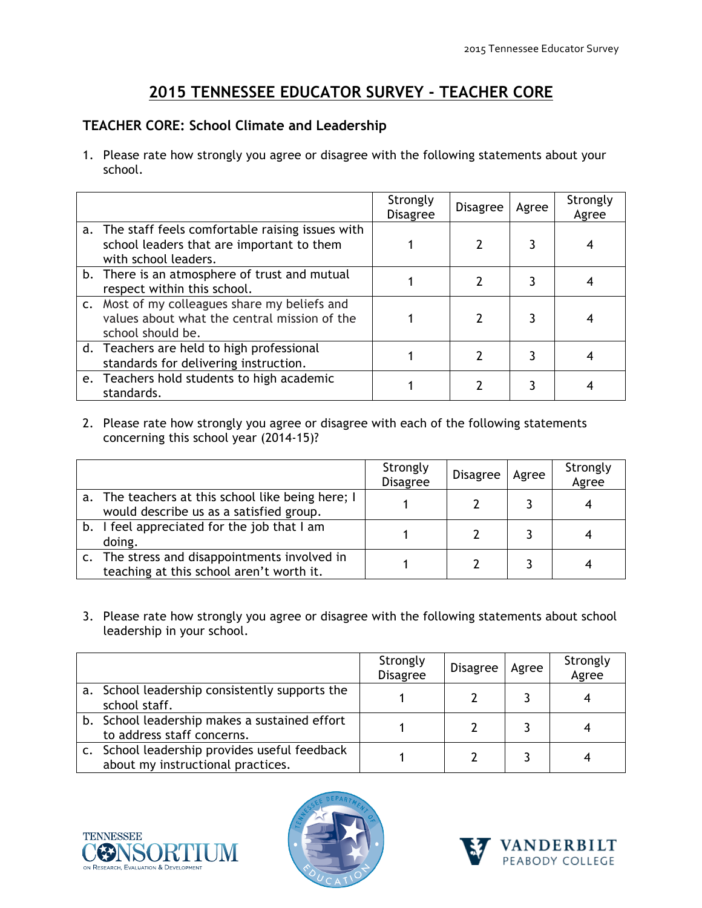# **2015 TENNESSEE EDUCATOR SURVEY - TEACHER CORE**

## **TEACHER CORE: School Climate and Leadership**

1. Please rate how strongly you agree or disagree with the following statements about your school.

|                                                                                                                         | Strongly<br><b>Disagree</b> | <b>Disagree</b> | Agree | Strongly<br>Agree |
|-------------------------------------------------------------------------------------------------------------------------|-----------------------------|-----------------|-------|-------------------|
| a. The staff feels comfortable raising issues with<br>school leaders that are important to them<br>with school leaders. |                             |                 |       |                   |
| b. There is an atmosphere of trust and mutual<br>respect within this school.                                            |                             |                 |       |                   |
| c. Most of my colleagues share my beliefs and<br>values about what the central mission of the<br>school should be.      |                             |                 |       |                   |
| d. Teachers are held to high professional<br>standards for delivering instruction.                                      |                             |                 |       |                   |
| e. Teachers hold students to high academic<br>standards.                                                                |                             |                 |       |                   |

2. Please rate how strongly you agree or disagree with each of the following statements concerning this school year (2014-15)?

|                                                                                              | Strongly<br><b>Disagree</b> | Disagree | Agree | Strongly<br>Agree |
|----------------------------------------------------------------------------------------------|-----------------------------|----------|-------|-------------------|
| a. The teachers at this school like being here; I<br>would describe us as a satisfied group. |                             |          |       |                   |
| b. I feel appreciated for the job that I am<br>doing.                                        |                             |          |       |                   |
| c. The stress and disappointments involved in<br>teaching at this school aren't worth it.    |                             |          |       |                   |

3. Please rate how strongly you agree or disagree with the following statements about school leadership in your school.

|                                                                                    | Strongly<br><b>Disagree</b> | <b>Disagree</b> | Agree | Strongly<br>Agree |
|------------------------------------------------------------------------------------|-----------------------------|-----------------|-------|-------------------|
| a. School leadership consistently supports the<br>school staff.                    |                             |                 |       |                   |
| b. School leadership makes a sustained effort<br>to address staff concerns.        |                             |                 |       |                   |
| c. School leadership provides useful feedback<br>about my instructional practices. |                             |                 |       |                   |





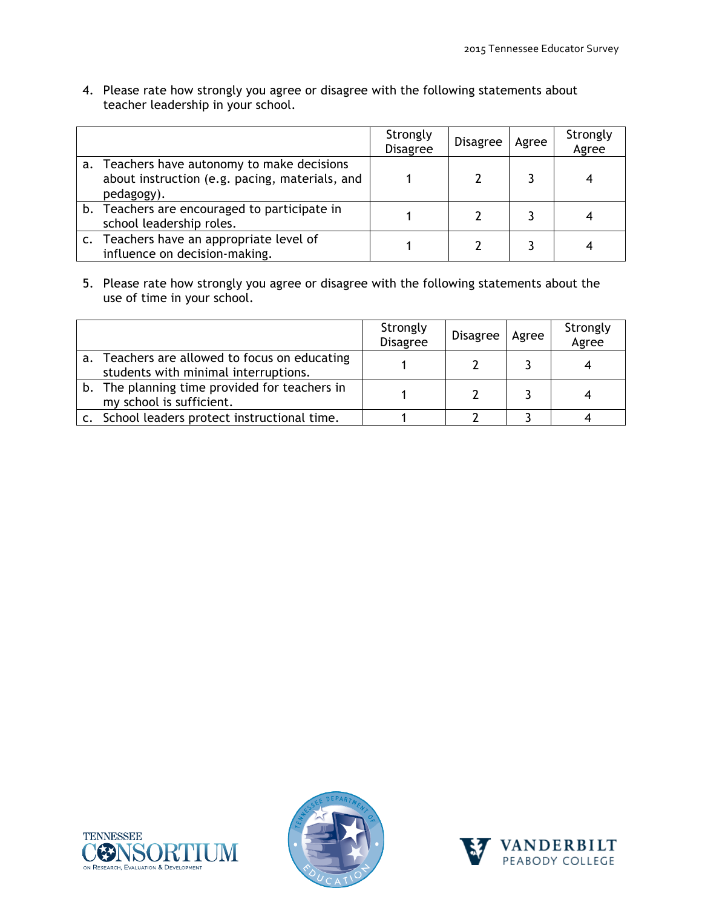4. Please rate how strongly you agree or disagree with the following statements about teacher leadership in your school.

|                |                                                                                                          | Strongly<br><b>Disagree</b> | Disagree | Agree | Strongly<br>Agree |
|----------------|----------------------------------------------------------------------------------------------------------|-----------------------------|----------|-------|-------------------|
| a.             | Teachers have autonomy to make decisions<br>about instruction (e.g. pacing, materials, and<br>pedagogy). |                             |          |       |                   |
|                | b. Teachers are encouraged to participate in<br>school leadership roles.                                 |                             |          |       |                   |
| $\mathsf{C}$ . | Teachers have an appropriate level of<br>influence on decision-making.                                   |                             |          |       |                   |

5. Please rate how strongly you agree or disagree with the following statements about the use of time in your school.

|    |                                                                                    | Strongly<br>Disagree | <b>Disagree</b> | Agree | Strongly<br>Agree |
|----|------------------------------------------------------------------------------------|----------------------|-----------------|-------|-------------------|
| a. | Teachers are allowed to focus on educating<br>students with minimal interruptions. |                      |                 |       |                   |
|    | b. The planning time provided for teachers in<br>my school is sufficient.          |                      |                 |       |                   |
|    | c. School leaders protect instructional time.                                      |                      |                 |       |                   |





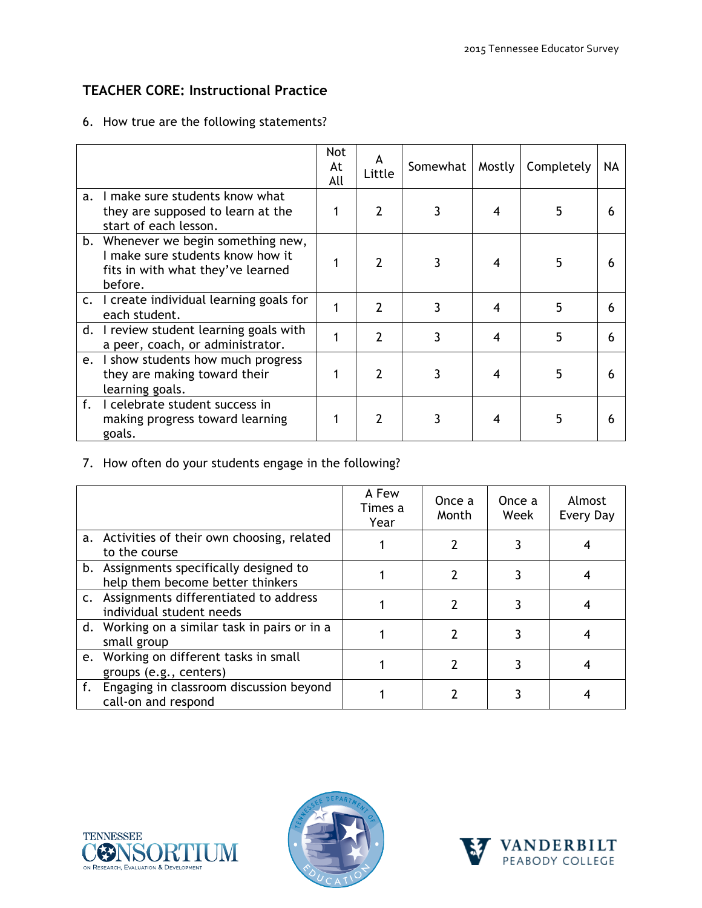# **TEACHER CORE: Instructional Practice**

### 6. How true are the following statements?

|    |                                                                                                                         | <b>Not</b><br>At<br>All | A<br>Little    | Somewhat | Mostly | Completely | NA |
|----|-------------------------------------------------------------------------------------------------------------------------|-------------------------|----------------|----------|--------|------------|----|
| a. | I make sure students know what<br>they are supposed to learn at the<br>start of each lesson.                            |                         | $\overline{2}$ | 3        | 4      | 5.         |    |
|    | b. Whenever we begin something new,<br>I make sure students know how it<br>fits in with what they've learned<br>before. |                         | 2              | 3        | 4      | 5          |    |
|    | c. I create individual learning goals for<br>each student.                                                              |                         | $\overline{2}$ | 3        | 4      | 5          |    |
| d. | I review student learning goals with<br>a peer, coach, or administrator.                                                |                         | 2              | 3        | 4      | 5          | 6  |
| e. | I show students how much progress<br>they are making toward their<br>learning goals.                                    |                         | 2              |          | 4      | 5          |    |
|    | f. I celebrate student success in<br>making progress toward learning<br>goals.                                          |                         | 2              |          | 4      | 5          |    |

7. How often do your students engage in the following?

|                                                                             | A Few<br>Times a<br>Year | Once a<br>Month | Once a<br>Week | Almost<br>Every Day |
|-----------------------------------------------------------------------------|--------------------------|-----------------|----------------|---------------------|
| a. Activities of their own choosing, related<br>to the course               |                          |                 |                |                     |
| b. Assignments specifically designed to<br>help them become better thinkers |                          |                 |                |                     |
| c. Assignments differentiated to address<br>individual student needs        |                          |                 |                |                     |
| d. Working on a similar task in pairs or in a<br>small group                |                          |                 |                |                     |
| e. Working on different tasks in small<br>groups (e.g., centers)            |                          |                 |                |                     |
| f. Engaging in classroom discussion beyond<br>call-on and respond           |                          |                 |                |                     |





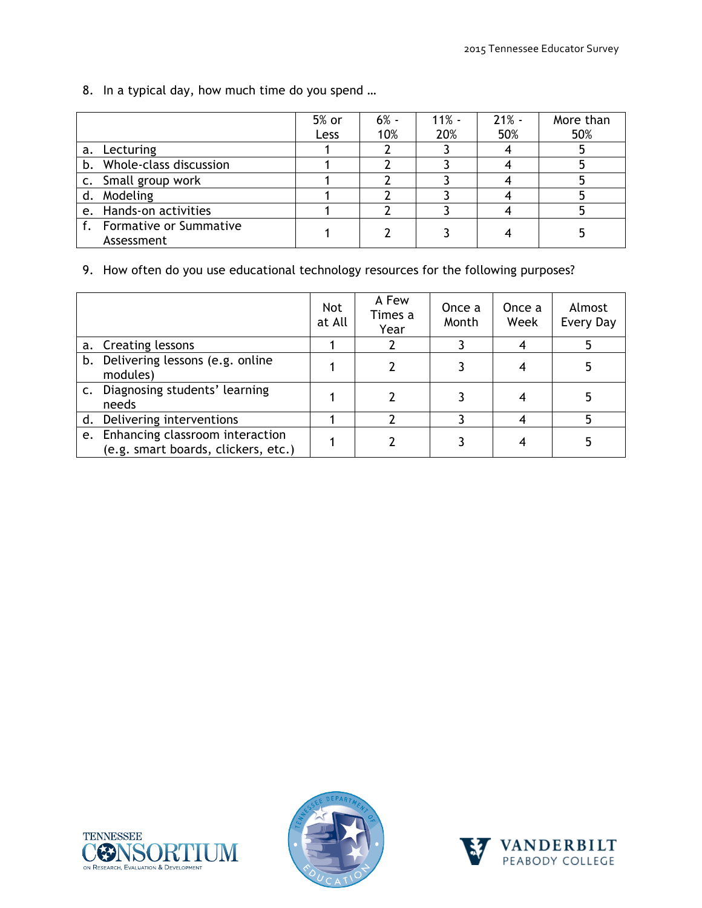8. In a typical day, how much time do you spend …

|                                         | 5% or<br>Less | $6% -$<br>10% | $11% -$<br>20% | $21% -$<br>50% | More than<br>50% |
|-----------------------------------------|---------------|---------------|----------------|----------------|------------------|
| Lecturing<br>a.                         |               |               |                |                |                  |
| b. Whole-class discussion               |               |               |                |                |                  |
| c. Small group work                     |               |               |                |                |                  |
| d. Modeling                             |               |               |                |                |                  |
| e. Hands-on activities                  |               |               |                |                |                  |
| f. Formative or Summative<br>Assessment |               |               |                |                |                  |

9. How often do you use educational technology resources for the following purposes?

|               |                                                                           | <b>Not</b><br>at All | A Few<br>Times a<br>Year | Once a<br>Month | Once a<br>Week | Almost<br>Every Day |
|---------------|---------------------------------------------------------------------------|----------------------|--------------------------|-----------------|----------------|---------------------|
|               | a. Creating lessons                                                       |                      |                          |                 |                |                     |
|               | b. Delivering lessons (e.g. online<br>modules)                            |                      |                          |                 |                |                     |
| $C_{\bullet}$ | Diagnosing students' learning<br>needs                                    |                      |                          |                 |                |                     |
|               | d. Delivering interventions                                               |                      |                          |                 |                |                     |
|               | e. Enhancing classroom interaction<br>(e.g. smart boards, clickers, etc.) |                      |                          |                 |                |                     |





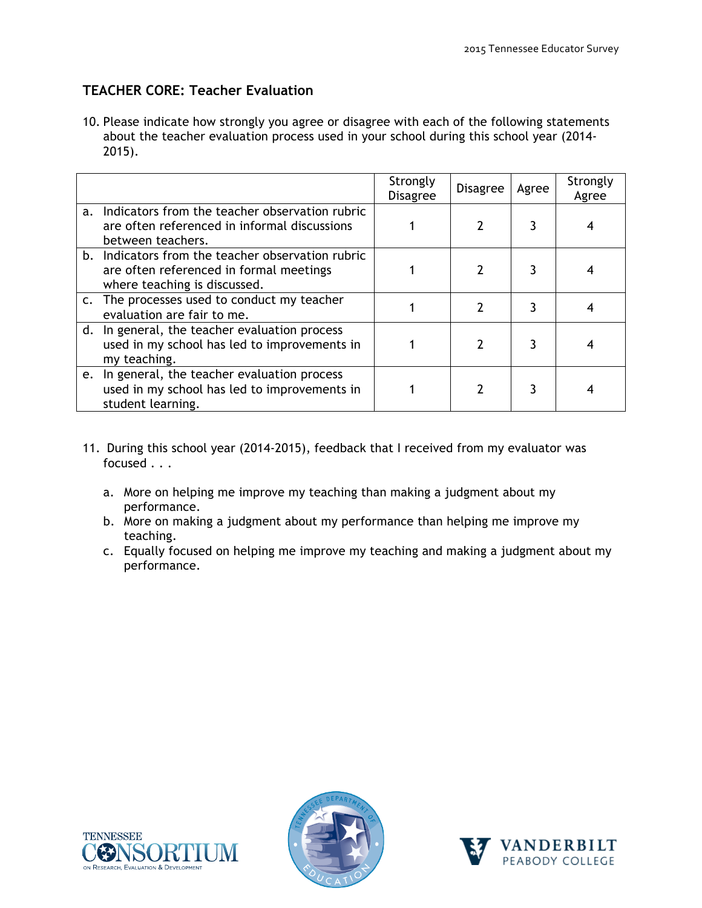## **TEACHER CORE: Teacher Evaluation**

10. Please indicate how strongly you agree or disagree with each of the following statements about the teacher evaluation process used in your school during this school year (2014- 2015).

|             |                                                                                                                              | Strongly<br><b>Disagree</b> | <b>Disagree</b> | Agree | Strongly<br>Agree |
|-------------|------------------------------------------------------------------------------------------------------------------------------|-----------------------------|-----------------|-------|-------------------|
| $a_{\cdot}$ | Indicators from the teacher observation rubric<br>are often referenced in informal discussions<br>between teachers.          |                             |                 |       |                   |
|             | b. Indicators from the teacher observation rubric<br>are often referenced in formal meetings<br>where teaching is discussed. |                             |                 |       |                   |
|             | c. The processes used to conduct my teacher<br>evaluation are fair to me.                                                    |                             |                 |       |                   |
|             | d. In general, the teacher evaluation process<br>used in my school has led to improvements in<br>my teaching.                |                             |                 |       |                   |
|             | e. In general, the teacher evaluation process<br>used in my school has led to improvements in<br>student learning.           |                             |                 |       |                   |

- 11. During this school year (2014-2015), feedback that I received from my evaluator was focused . . .
	- a. More on helping me improve my teaching than making a judgment about my performance.
	- b. More on making a judgment about my performance than helping me improve my teaching.
	- c. Equally focused on helping me improve my teaching and making a judgment about my performance.





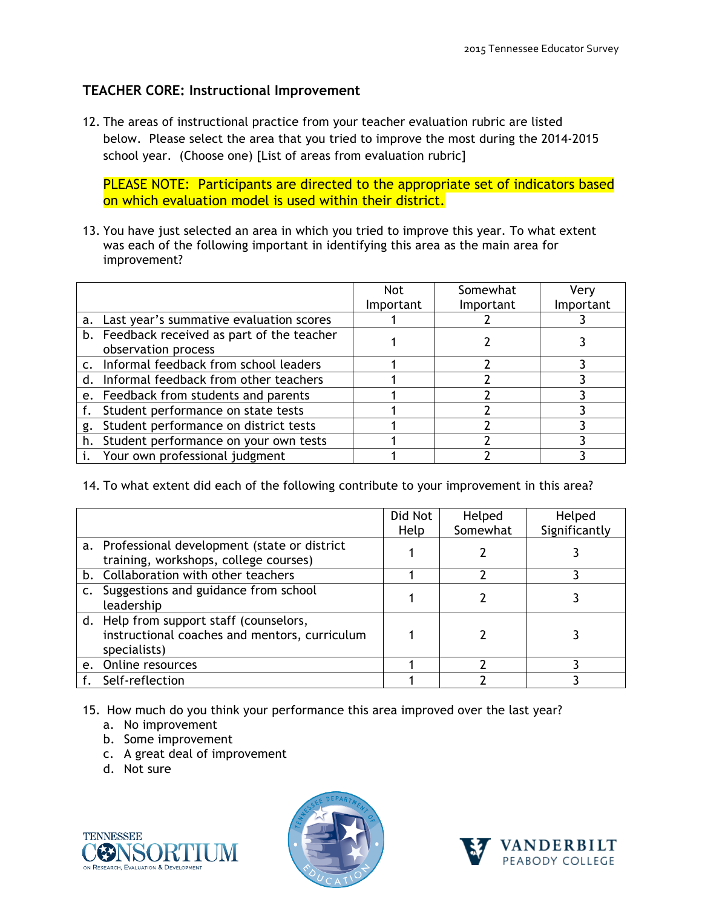## **TEACHER CORE: Instructional Improvement**

12. The areas of instructional practice from your teacher evaluation rubric are listed below. Please select the area that you tried to improve the most during the 2014-2015 school year. (Choose one) [List of areas from evaluation rubric]

PLEASE NOTE: Participants are directed to the appropriate set of indicators based on which evaluation model is used within their district.

13. You have just selected an area in which you tried to improve this year. To what extent was each of the following important in identifying this area as the main area for improvement?

|    |                                             | <b>Not</b> | Somewhat  | Very      |
|----|---------------------------------------------|------------|-----------|-----------|
|    |                                             | Important  | Important | Important |
| a. | Last year's summative evaluation scores     |            |           |           |
|    | b. Feedback received as part of the teacher |            |           |           |
|    | observation process                         |            |           |           |
|    | c. Informal feedback from school leaders    |            |           |           |
|    | d. Informal feedback from other teachers    |            |           |           |
|    | e. Feedback from students and parents       |            |           |           |
|    | f. Student performance on state tests       |            |           |           |
|    | g. Student performance on district tests    |            |           |           |
|    | h. Student performance on your own tests    |            |           |           |
|    | Your own professional judgment              |            |           |           |

14. To what extent did each of the following contribute to your improvement in this area?

|         |                                                                                                          | Did Not<br>Help | Helped<br>Somewhat | Helped<br>Significantly |
|---------|----------------------------------------------------------------------------------------------------------|-----------------|--------------------|-------------------------|
|         | a. Professional development (state or district<br>training, workshops, college courses)                  |                 |                    |                         |
|         | b. Collaboration with other teachers                                                                     |                 |                    |                         |
|         | c. Suggestions and guidance from school<br>leadership                                                    |                 |                    |                         |
|         | d. Help from support staff (counselors,<br>instructional coaches and mentors, curriculum<br>specialists) |                 |                    |                         |
| $e_{1}$ | Online resources                                                                                         |                 |                    |                         |
|         | Self-reflection                                                                                          |                 |                    |                         |

15. How much do you think your performance this area improved over the last year?

- a. No improvement
- b. Some improvement
- c. A great deal of improvement
- d. Not sure





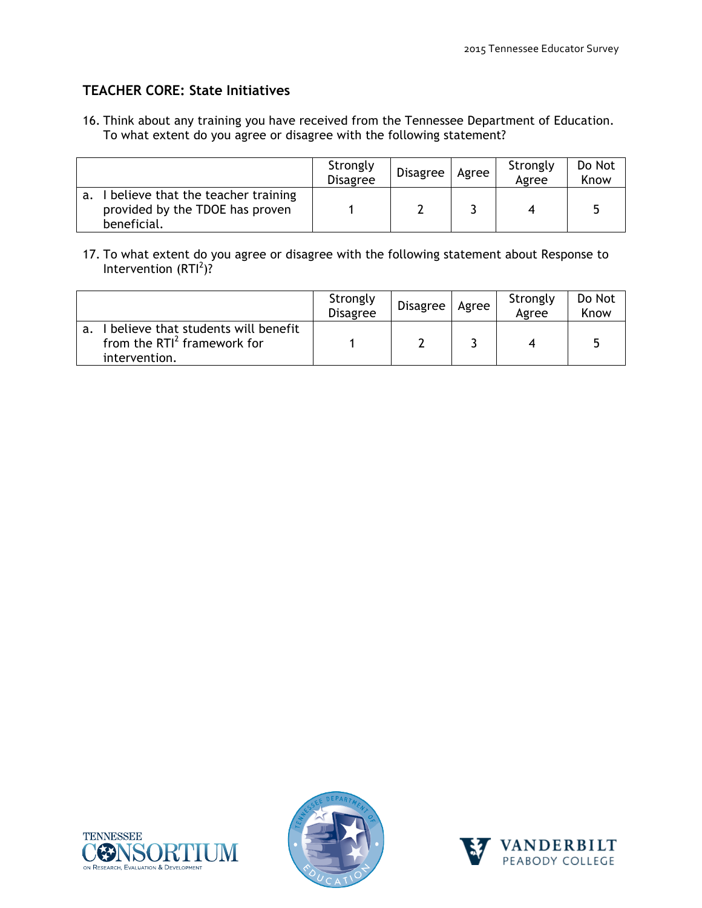## **TEACHER CORE: State Initiatives**

16. Think about any training you have received from the Tennessee Department of Education. To what extent do you agree or disagree with the following statement?

|                                                                                     | Strongly<br><b>Disagree</b> | <b>Disagree</b> | Agree | Strongly<br>Agree | Do Not<br>Know |
|-------------------------------------------------------------------------------------|-----------------------------|-----------------|-------|-------------------|----------------|
| believe that the teacher training<br>provided by the TDOE has proven<br>beneficial. |                             |                 |       |                   |                |

17. To what extent do you agree or disagree with the following statement about Response to Intervention  $(RTI^2)$ ?

|                                                                                      | Strongly<br><b>Disagree</b> | Disagree | Agree | Strongly<br>Agree | Do Not<br>Know |
|--------------------------------------------------------------------------------------|-----------------------------|----------|-------|-------------------|----------------|
| believe that students will benefit<br>from the $RTI2$ framework for<br>intervention. |                             |          |       |                   |                |